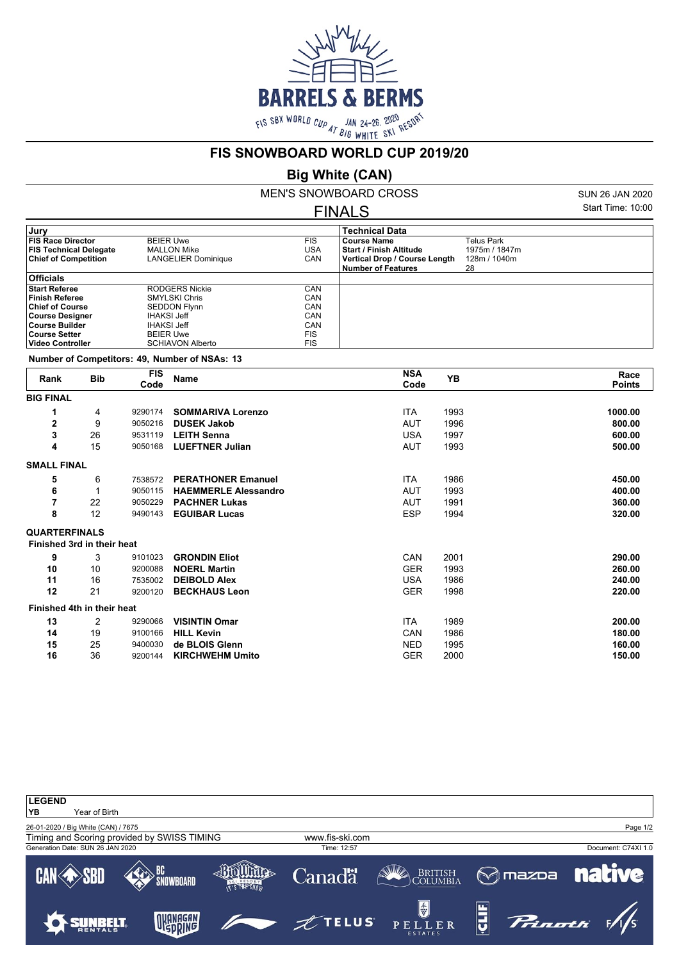

### **FIS SNOWBOARD WORLD CUP 2019/20**

# **Big White (CAN)**

MEN'S SNOWBOARD CROSS FINALS

SUN 26 JAN 2020 Start Time: 10:00

|                                       | <b>Technical Data</b>          |               |  |  |
|---------------------------------------|--------------------------------|---------------|--|--|
| <b>BEIER Uwe</b><br><b>FIS</b>        | <b>Course Name</b>             | Telus Park    |  |  |
| USA<br><b>MALLON Mike</b>             | <b>Start / Finish Altitude</b> | 1975m / 1847m |  |  |
| CAN<br>LANGELIER Dominique            | Vertical Drop / Course Length  | 128m / 1040m  |  |  |
|                                       | <b>Number of Features</b>      | 28            |  |  |
|                                       |                                |               |  |  |
| <b>RODGERS Nickie</b><br>CAN          |                                |               |  |  |
| CAN<br><b>SMYLSKI Chris</b>           |                                |               |  |  |
| CAN<br><b>SEDDON Flynn</b>            |                                |               |  |  |
| CAN<br><b>IHAKSI Jeff</b>             |                                |               |  |  |
| CAN<br><b>IHAKSI Jeff</b>             |                                |               |  |  |
| <b>FIS</b><br><b>BEIER Uwe</b>        |                                |               |  |  |
| <b>FIS</b><br><b>SCHIAVON Alberto</b> |                                |               |  |  |
|                                       |                                |               |  |  |

**Number of Competitors: 49, Number of NSAs: 13**

| Rank                 | <b>Bib</b>                 | <b>FIS</b><br>Code | <b>NSA</b><br><b>YB</b><br><b>Name</b><br>Code |            | Race<br><b>Points</b> |         |
|----------------------|----------------------------|--------------------|------------------------------------------------|------------|-----------------------|---------|
| <b>BIG FINAL</b>     |                            |                    |                                                |            |                       |         |
| 1                    | 4                          | 9290174            | <b>SOMMARIVA Lorenzo</b>                       | <b>ITA</b> | 1993                  | 1000.00 |
| 2                    | 9                          | 9050216            | <b>DUSEK Jakob</b>                             | AUT        | 1996                  | 800.00  |
| 3                    | 26                         | 9531119            | <b>LEITH Senna</b>                             | <b>USA</b> | 1997                  | 600.00  |
| 4                    | 15                         | 9050168            | <b>LUEFTNER Julian</b>                         | <b>AUT</b> | 1993                  | 500.00  |
| <b>SMALL FINAL</b>   |                            |                    |                                                |            |                       |         |
| 5                    | 6                          | 7538572            | <b>PERATHONER Emanuel</b>                      | <b>ITA</b> | 1986                  | 450.00  |
| 6                    | 1                          | 9050115            | <b>HAEMMERLE Alessandro</b>                    | AUT        | 1993                  | 400.00  |
| 7                    | 22                         | 9050229            | <b>PACHNER Lukas</b>                           | AUT        | 1991                  | 360.00  |
| 8                    | 12                         | 9490143            | <b>EGUIBAR Lucas</b>                           | <b>ESP</b> | 1994                  | 320.00  |
| <b>QUARTERFINALS</b> |                            |                    |                                                |            |                       |         |
|                      | Finished 3rd in their heat |                    |                                                |            |                       |         |
| 9                    | 3                          | 9101023            | <b>GRONDIN Eliot</b>                           | CAN        | 2001                  | 290.00  |
| 10                   | 10                         | 9200088            | <b>NOERL Martin</b>                            | <b>GER</b> | 1993                  | 260.00  |
| 11                   | 16                         | 7535002            | <b>DEIBOLD Alex</b>                            | <b>USA</b> | 1986                  | 240.00  |
| 12                   | 21                         | 9200120            | <b>BECKHAUS Leon</b>                           | <b>GER</b> | 1998                  | 220.00  |
|                      | Finished 4th in their heat |                    |                                                |            |                       |         |
| 13                   | 2                          | 9290066            | <b>VISINTIN Omar</b>                           | ITA        | 1989                  | 200.00  |
| 14                   | 19                         | 9100166            | <b>HILL Kevin</b>                              | CAN        | 1986                  | 180.00  |
| 15                   | 25                         | 9400030            | de BLOIS Glenn                                 | NED        | 1995                  | 160.00  |
| 16                   | 36                         | 9200144            | <b>KIRCHWEHM Umito</b>                         | <b>GER</b> | 2000                  | 150.00  |